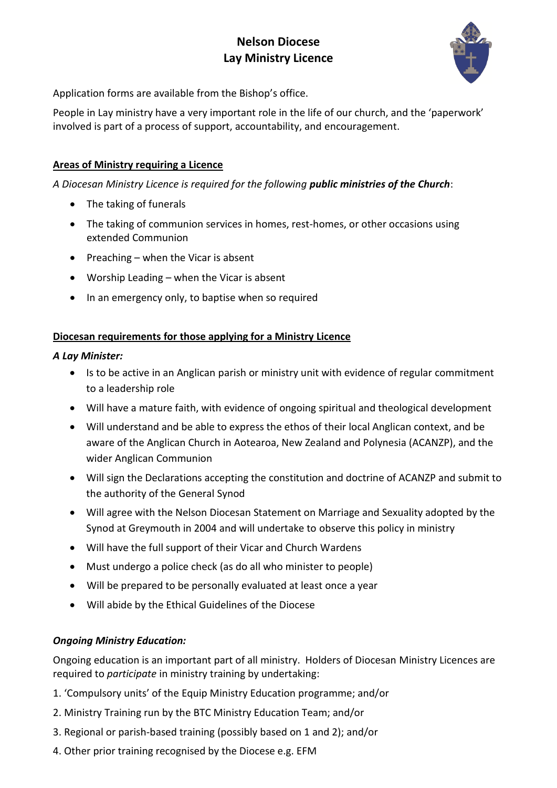# **Nelson Diocese Lay Ministry Licence**



Application forms are available from the Bishop's office.

People in Lay ministry have a very important role in the life of our church, and the 'paperwork' involved is part of a process of support, accountability, and encouragement.

#### **Areas of Ministry requiring a Licence**

*A Diocesan Ministry Licence is required for the following public ministries of the Church*:

- The taking of funerals
- The taking of communion services in homes, rest-homes, or other occasions using extended Communion
- Preaching when the Vicar is absent
- Worship Leading when the Vicar is absent
- In an emergency only, to baptise when so required

#### **Diocesan requirements for those applying for a Ministry Licence**

#### *A Lay Minister:*

- Is to be active in an Anglican parish or ministry unit with evidence of regular commitment to a leadership role
- Will have a mature faith, with evidence of ongoing spiritual and theological development
- Will understand and be able to express the ethos of their local Anglican context, and be aware of the Anglican Church in Aotearoa, New Zealand and Polynesia (ACANZP), and the wider Anglican Communion
- Will sign the Declarations accepting the constitution and doctrine of ACANZP and submit to the authority of the General Synod
- Will agree with the Nelson Diocesan Statement on Marriage and Sexuality adopted by the Synod at Greymouth in 2004 and will undertake to observe this policy in ministry
- Will have the full support of their Vicar and Church Wardens
- Must undergo a police check (as do all who minister to people)
- Will be prepared to be personally evaluated at least once a year
- Will abide by the Ethical Guidelines of the Diocese

#### *Ongoing Ministry Education:*

Ongoing education is an important part of all ministry. Holders of Diocesan Ministry Licences are required to *participate* in ministry training by undertaking:

- 1. 'Compulsory units' of the Equip Ministry Education programme; and/or
- 2. Ministry Training run by the BTC Ministry Education Team; and/or
- 3. Regional or parish-based training (possibly based on 1 and 2); and/or
- 4. Other prior training recognised by the Diocese e.g. EFM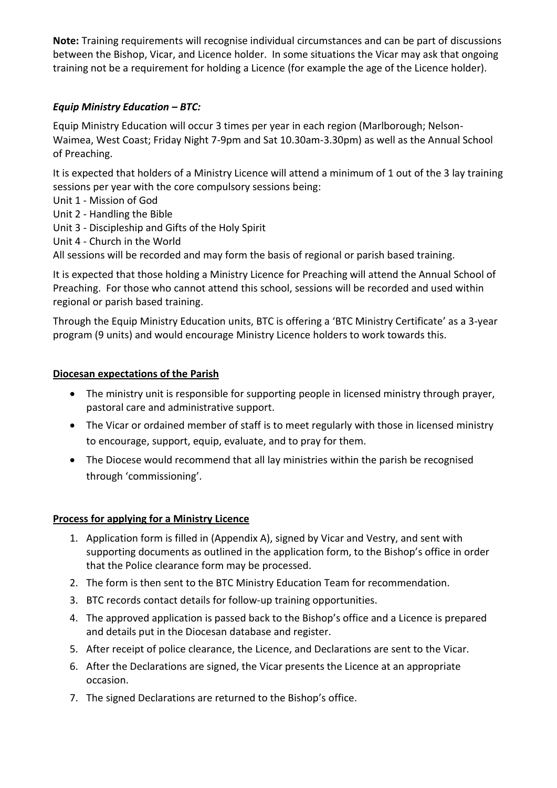**Note:** Training requirements will recognise individual circumstances and can be part of discussions between the Bishop, Vicar, and Licence holder. In some situations the Vicar may ask that ongoing training not be a requirement for holding a Licence (for example the age of the Licence holder).

# *Equip Ministry Education – BTC:*

Equip Ministry Education will occur 3 times per year in each region (Marlborough; Nelson-Waimea, West Coast; Friday Night 7-9pm and Sat 10.30am-3.30pm) as well as the Annual School of Preaching.

It is expected that holders of a Ministry Licence will attend a minimum of 1 out of the 3 lay training sessions per year with the core compulsory sessions being:

- Unit 1 Mission of God
- Unit 2 Handling the Bible
- Unit 3 Discipleship and Gifts of the Holy Spirit
- Unit 4 Church in the World

All sessions will be recorded and may form the basis of regional or parish based training.

It is expected that those holding a Ministry Licence for Preaching will attend the Annual School of Preaching. For those who cannot attend this school, sessions will be recorded and used within regional or parish based training.

Through the Equip Ministry Education units, BTC is offering a 'BTC Ministry Certificate' as a 3-year program (9 units) and would encourage Ministry Licence holders to work towards this.

# **Diocesan expectations of the Parish**

- The ministry unit is responsible for supporting people in licensed ministry through prayer, pastoral care and administrative support.
- The Vicar or ordained member of staff is to meet regularly with those in licensed ministry to encourage, support, equip, evaluate, and to pray for them.
- The Diocese would recommend that all lay ministries within the parish be recognised through 'commissioning'.

# **Process for applying for a Ministry Licence**

- 1. Application form is filled in (Appendix A), signed by Vicar and Vestry, and sent with supporting documents as outlined in the application form, to the Bishop's office in order that the Police clearance form may be processed.
- 2. The form is then sent to the BTC Ministry Education Team for recommendation.
- 3. BTC records contact details for follow-up training opportunities.
- 4. The approved application is passed back to the Bishop's office and a Licence is prepared and details put in the Diocesan database and register.
- 5. After receipt of police clearance, the Licence, and Declarations are sent to the Vicar.
- 6. After the Declarations are signed, the Vicar presents the Licence at an appropriate occasion.
- 7. The signed Declarations are returned to the Bishop's office.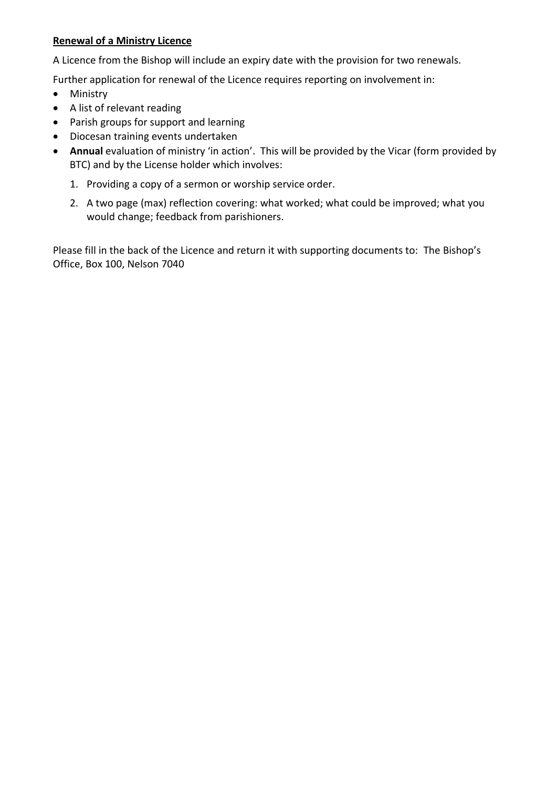#### **Renewal of a Ministry Licence**

A Licence from the Bishop will include an expiry date with the provision for two renewals.

Further application for renewal of the Licence requires reporting on involvement in:

- Ministry
- A list of relevant reading
- Parish groups for support and learning
- Diocesan training events undertaken
- **Annual** evaluation of ministry 'in action'. This will be provided by the Vicar (form provided by BTC) and by the License holder which involves:
	- 1. Providing a copy of a sermon or worship service order.
	- 2. A two page (max) reflection covering: what worked; what could be improved; what you would change; feedback from parishioners.

Please fill in the back of the Licence and return it with supporting documents to: The Bishop's Office, Box 100, Nelson 7040